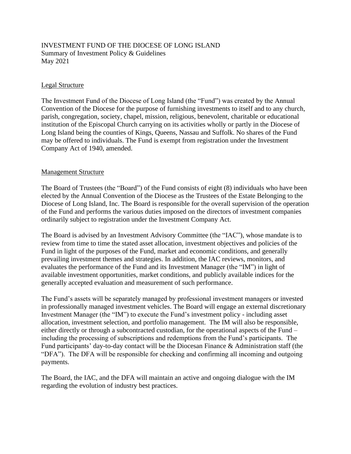## INVESTMENT FUND OF THE DIOCESE OF LONG ISLAND Summary of Investment Policy & Guidelines May 2021

### Legal Structure

The Investment Fund of the Diocese of Long Island (the "Fund") was created by the Annual Convention of the Diocese for the purpose of furnishing investments to itself and to any church, parish, congregation, society, chapel, mission, religious, benevolent, charitable or educational institution of the Episcopal Church carrying on its activities wholly or partly in the Diocese of Long Island being the counties of Kings, Queens, Nassau and Suffolk. No shares of the Fund may be offered to individuals. The Fund is exempt from registration under the Investment Company Act of 1940, amended.

### Management Structure

The Board of Trustees (the "Board") of the Fund consists of eight (8) individuals who have been elected by the Annual Convention of the Diocese as the Trustees of the Estate Belonging to the Diocese of Long Island, Inc. The Board is responsible for the overall supervision of the operation of the Fund and performs the various duties imposed on the directors of investment companies ordinarily subject to registration under the Investment Company Act.

The Board is advised by an Investment Advisory Committee (the "IAC"), whose mandate is to review from time to time the stated asset allocation, investment objectives and policies of the Fund in light of the purposes of the Fund, market and economic conditions, and generally prevailing investment themes and strategies. In addition, the IAC reviews, monitors, and evaluates the performance of the Fund and its Investment Manager (the "IM") in light of available investment opportunities, market conditions, and publicly available indices for the generally accepted evaluation and measurement of such performance.

The Fund's assets will be separately managed by professional investment managers or invested in professionally managed investment vehicles. The Board will engage an external discretionary Investment Manager (the "IM") to execute the Fund's investment policy - including asset allocation, investment selection, and portfolio management. The IM will also be responsible, either directly or through a subcontracted custodian, for the operational aspects of the Fund – including the processing of subscriptions and redemptions from the Fund's participants. The Fund participants' day-to-day contact will be the Diocesan Finance & Administration staff (the "DFA"). The DFA will be responsible for checking and confirming all incoming and outgoing payments.

The Board, the IAC, and the DFA will maintain an active and ongoing dialogue with the IM regarding the evolution of industry best practices.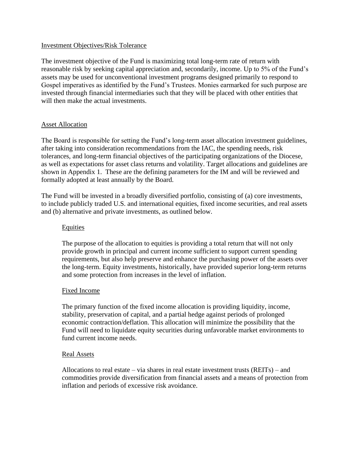### Investment Objectives/Risk Tolerance

The investment objective of the Fund is maximizing total long-term rate of return with reasonable risk by seeking capital appreciation and, secondarily, income. Up to 5% of the Fund's assets may be used for unconventional investment programs designed primarily to respond to Gospel imperatives as identified by the Fund's Trustees. Monies earmarked for such purpose are invested through financial intermediaries such that they will be placed with other entities that will then make the actual investments.

### **Asset Allocation**

The Board is responsible for setting the Fund's long-term asset allocation investment guidelines, after taking into consideration recommendations from the IAC, the spending needs, risk tolerances, and long-term financial objectives of the participating organizations of the Diocese, as well as expectations for asset class returns and volatility. Target allocations and guidelines are shown in Appendix 1. These are the defining parameters for the IM and will be reviewed and formally adopted at least annually by the Board.

The Fund will be invested in a broadly diversified portfolio, consisting of (a) core investments, to include publicly traded U.S. and international equities, fixed income securities, and real assets and (b) alternative and private investments, as outlined below.

#### Equities

The purpose of the allocation to equities is providing a total return that will not only provide growth in principal and current income sufficient to support current spending requirements, but also help preserve and enhance the purchasing power of the assets over the long-term. Equity investments, historically, have provided superior long-term returns and some protection from increases in the level of inflation.

### Fixed Income

The primary function of the fixed income allocation is providing liquidity, income, stability, preservation of capital, and a partial hedge against periods of prolonged economic contraction/deflation. This allocation will minimize the possibility that the Fund will need to liquidate equity securities during unfavorable market environments to fund current income needs.

#### Real Assets

Allocations to real estate – via shares in real estate investment trusts (REITs) – and commodities provide diversification from financial assets and a means of protection from inflation and periods of excessive risk avoidance.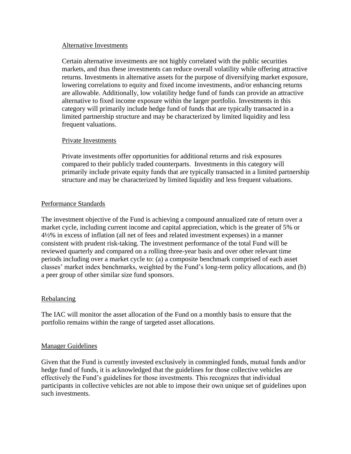### Alternative Investments

Certain alternative investments are not highly correlated with the public securities markets, and thus these investments can reduce overall volatility while offering attractive returns. Investments in alternative assets for the purpose of diversifying market exposure, lowering correlations to equity and fixed income investments, and/or enhancing returns are allowable. Additionally, low volatility hedge fund of funds can provide an attractive alternative to fixed income exposure within the larger portfolio. Investments in this category will primarily include hedge fund of funds that are typically transacted in a limited partnership structure and may be characterized by limited liquidity and less frequent valuations.

### Private Investments

Private investments offer opportunities for additional returns and risk exposures compared to their publicly traded counterparts. Investments in this category will primarily include private equity funds that are typically transacted in a limited partnership structure and may be characterized by limited liquidity and less frequent valuations.

## Performance Standards

The investment objective of the Fund is achieving a compound annualized rate of return over a market cycle, including current income and capital appreciation, which is the greater of 5% or 4½% in excess of inflation (all net of fees and related investment expenses) in a manner consistent with prudent risk-taking. The investment performance of the total Fund will be reviewed quarterly and compared on a rolling three-year basis and over other relevant time periods including over a market cycle to: (a) a composite benchmark comprised of each asset classes' market index benchmarks, weighted by the Fund's long-term policy allocations, and (b) a peer group of other similar size fund sponsors.

# Rebalancing

The IAC will monitor the asset allocation of the Fund on a monthly basis to ensure that the portfolio remains within the range of targeted asset allocations.

### Manager Guidelines

Given that the Fund is currently invested exclusively in commingled funds, mutual funds and/or hedge fund of funds, it is acknowledged that the guidelines for those collective vehicles are effectively the Fund's guidelines for those investments. This recognizes that individual participants in collective vehicles are not able to impose their own unique set of guidelines upon such investments.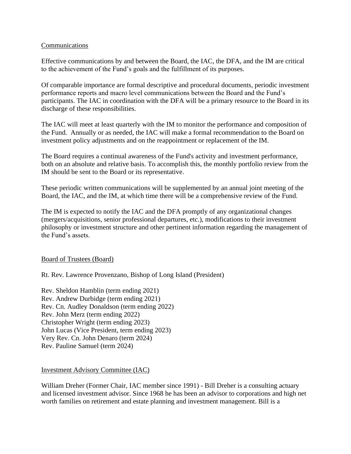### **Communications**

Effective communications by and between the Board, the IAC, the DFA, and the IM are critical to the achievement of the Fund's goals and the fulfillment of its purposes.

Of comparable importance are formal descriptive and procedural documents, periodic investment performance reports and macro level communications between the Board and the Fund's participants. The IAC in coordination with the DFA will be a primary resource to the Board in its discharge of these responsibilities.

The IAC will meet at least quarterly with the IM to monitor the performance and composition of the Fund. Annually or as needed, the IAC will make a formal recommendation to the Board on investment policy adjustments and on the reappointment or replacement of the IM.

The Board requires a continual awareness of the Fund's activity and investment performance, both on an absolute and relative basis. To accomplish this, the monthly portfolio review from the IM should be sent to the Board or its representative.

These periodic written communications will be supplemented by an annual joint meeting of the Board, the IAC, and the IM, at which time there will be a comprehensive review of the Fund.

The IM is expected to notify the IAC and the DFA promptly of any organizational changes (mergers/acquisitions, senior professional departures, etc.), modifications to their investment philosophy or investment structure and other pertinent information regarding the management of the Fund's assets.

### Board of Trustees (Board)

Rt. Rev. Lawrence Provenzano, Bishop of Long Island (President)

Rev. Sheldon Hamblin (term ending 2021) Rev. Andrew Durbidge (term ending 2021) Rev. Cn. Audley Donaldson (term ending 2022) Rev. John Merz (term ending 2022) Christopher Wright (term ending 2023) John Lucas (Vice President, term ending 2023) Very Rev. Cn. John Denaro (term 2024) Rev. Pauline Samuel (term 2024)

### Investment Advisory Committee (IAC)

William Dreher (Former Chair, IAC member since 1991) - Bill Dreher is a consulting actuary and licensed investment advisor. Since 1968 he has been an advisor to corporations and high net worth families on retirement and estate planning and investment management. Bill is a